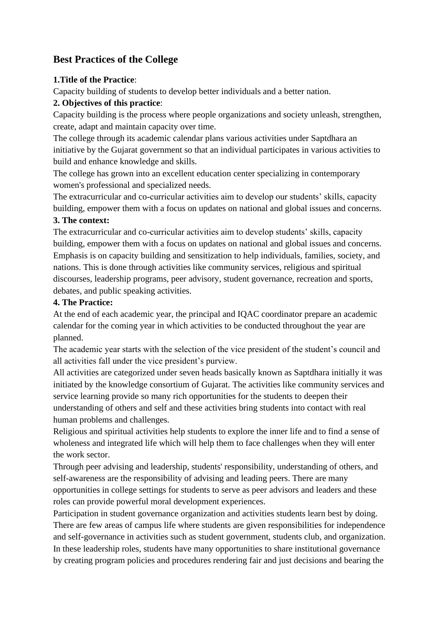# **Best Practices of the College**

### **1.Title of the Practice**:

Capacity building of students to develop better individuals and a better nation.

# **2. Objectives of this practice**:

Capacity building is the process where people organizations and society unleash, strengthen, create, adapt and maintain capacity over time.

The college through its academic calendar plans various activities under Saptdhara an initiative by the Gujarat government so that an individual participates in various activities to build and enhance knowledge and skills.

The college has grown into an excellent education center specializing in contemporary women's professional and specialized needs.

The extracurricular and co-curricular activities aim to develop our students' skills, capacity building, empower them with a focus on updates on national and global issues and concerns.

# **3. The context:**

The extracurricular and co-curricular activities aim to develop students' skills, capacity building, empower them with a focus on updates on national and global issues and concerns. Emphasis is on capacity building and sensitization to help individuals, families, society, and nations. This is done through activities like community services, religious and spiritual discourses, leadership programs, peer advisory, student governance, recreation and sports, debates, and public speaking activities.

### **4. The Practice:**

At the end of each academic year, the principal and IQAC coordinator prepare an academic calendar for the coming year in which activities to be conducted throughout the year are planned.

The academic year starts with the selection of the vice president of the student's council and all activities fall under the vice president's purview.

All activities are categorized under seven heads basically known as Saptdhara initially it was initiated by the knowledge consortium of Gujarat. The activities like community services and service learning provide so many rich opportunities for the students to deepen their understanding of others and self and these activities bring students into contact with real human problems and challenges.

Religious and spiritual activities help students to explore the inner life and to find a sense of wholeness and integrated life which will help them to face challenges when they will enter the work sector.

Through peer advising and leadership, students' responsibility, understanding of others, and self-awareness are the responsibility of advising and leading peers. There are many opportunities in college settings for students to serve as peer advisors and leaders and these roles can provide powerful moral development experiences.

Participation in student governance organization and activities students learn best by doing. There are few areas of campus life where students are given responsibilities for independence and self-governance in activities such as student government, students club, and organization. In these leadership roles, students have many opportunities to share institutional governance by creating program policies and procedures rendering fair and just decisions and bearing the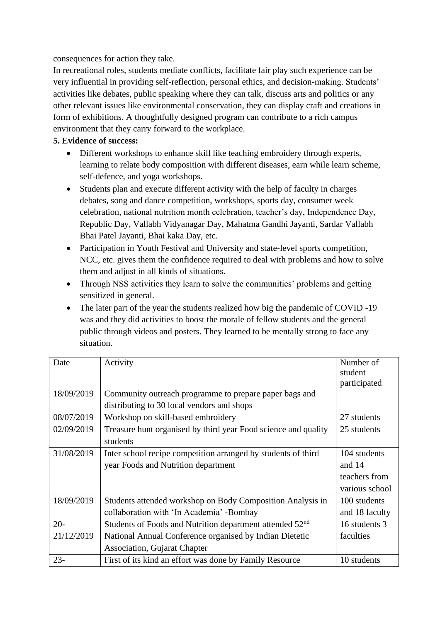consequences for action they take.

In recreational roles, students mediate conflicts, facilitate fair play such experience can be very influential in providing self-reflection, personal ethics, and decision-making. Students' activities like debates, public speaking where they can talk, discuss arts and politics or any other relevant issues like environmental conservation, they can display craft and creations in form of exhibitions. A thoughtfully designed program can contribute to a rich campus environment that they carry forward to the workplace.

### **5. Evidence of success:**

- Different workshops to enhance skill like teaching embroidery through experts, learning to relate body composition with different diseases, earn while learn scheme, self-defence, and yoga workshops.
- Students plan and execute different activity with the help of faculty in charges debates, song and dance competition, workshops, sports day, consumer week celebration, national nutrition month celebration, teacher's day, Independence Day, Republic Day, Vallabh Vidyanagar Day, Mahatma Gandhi Jayanti, Sardar Vallabh Bhai Patel Jayanti, Bhai kaka Day, etc.
- Participation in Youth Festival and University and state-level sports competition, NCC, etc. gives them the confidence required to deal with problems and how to solve them and adjust in all kinds of situations.
- Through NSS activities they learn to solve the communities' problems and getting sensitized in general.
- The later part of the year the students realized how big the pandemic of COVID -19 was and they did activities to boost the morale of fellow students and the general public through videos and posters. They learned to be mentally strong to face any situation.

| Date       | Activity                                                             | Number of      |
|------------|----------------------------------------------------------------------|----------------|
|            |                                                                      | student        |
|            |                                                                      | participated   |
| 18/09/2019 | Community outreach programme to prepare paper bags and               |                |
|            | distributing to 30 local vendors and shops                           |                |
| 08/07/2019 | Workshop on skill-based embroidery                                   | 27 students    |
| 02/09/2019 | Treasure hunt organised by third year Food science and quality       | 25 students    |
|            | students                                                             |                |
| 31/08/2019 | Inter school recipe competition arranged by students of third        | 104 students   |
|            | year Foods and Nutrition department                                  | and 14         |
|            |                                                                      | teachers from  |
|            |                                                                      | various school |
| 18/09/2019 | Students attended workshop on Body Composition Analysis in           | 100 students   |
|            | collaboration with 'In Academia' -Bombay                             | and 18 faculty |
| $20 -$     | Students of Foods and Nutrition department attended 52 <sup>nd</sup> | 16 students 3  |
| 21/12/2019 | National Annual Conference organised by Indian Dietetic              | faculties      |
|            | <b>Association, Gujarat Chapter</b>                                  |                |
| $23 -$     | First of its kind an effort was done by Family Resource              | 10 students    |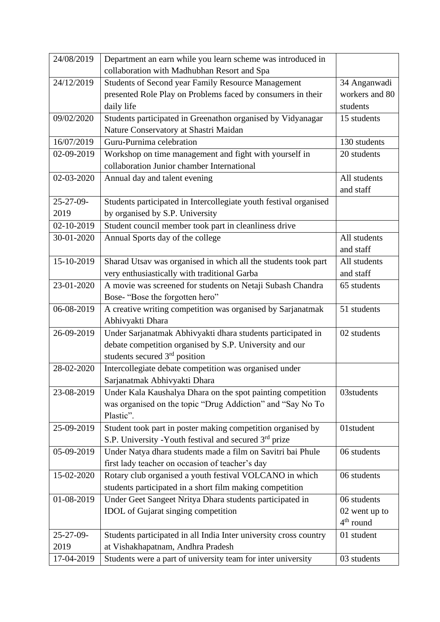| 24/08/2019     | Department an earn while you learn scheme was introduced in                                            |                              |
|----------------|--------------------------------------------------------------------------------------------------------|------------------------------|
|                | collaboration with Madhubhan Resort and Spa                                                            |                              |
| 24/12/2019     | Students of Second year Family Resource Management                                                     | 34 Anganwadi                 |
|                | presented Role Play on Problems faced by consumers in their                                            | workers and 80               |
|                | daily life                                                                                             | students                     |
| 09/02/2020     | Students participated in Greenathon organised by Vidyanagar                                            | 15 students                  |
|                | Nature Conservatory at Shastri Maidan                                                                  |                              |
| 16/07/2019     | Guru-Purnima celebration                                                                               | 130 students                 |
| 02-09-2019     | Workshop on time management and fight with yourself in                                                 | 20 students                  |
|                | collaboration Junior chamber International                                                             |                              |
| 02-03-2020     | Annual day and talent evening                                                                          | All students                 |
|                |                                                                                                        | and staff                    |
| $25 - 27 - 09$ | Students participated in Intercollegiate youth festival organised                                      |                              |
| 2019           | by organised by S.P. University                                                                        |                              |
| 02-10-2019     | Student council member took part in cleanliness drive                                                  |                              |
| 30-01-2020     | Annual Sports day of the college                                                                       | All students                 |
|                |                                                                                                        | and staff                    |
| 15-10-2019     | Sharad Utsav was organised in which all the students took part                                         | All students                 |
|                | very enthusiastically with traditional Garba                                                           | and staff                    |
| 23-01-2020     | A movie was screened for students on Netaji Subash Chandra                                             | 65 students                  |
|                | Bose-"Bose the forgotten hero"                                                                         |                              |
| 06-08-2019     | A creative writing competition was organised by Sarjanatmak                                            | 51 students                  |
|                | Abhivyakti Dhara                                                                                       |                              |
| 26-09-2019     | Under Sarjanatmak Abhivyakti dhara students participated in                                            | 02 students                  |
|                | debate competition organised by S.P. University and our                                                |                              |
|                | students secured $3rd$ position                                                                        |                              |
| 28-02-2020     | Intercollegiate debate competition was organised under                                                 |                              |
|                | Sarjanatmak Abhivyakti Dhara                                                                           |                              |
| 23-08-2019     | Under Kala Kaushalya Dhara on the spot painting competition                                            | 03students                   |
|                | was organised on the topic "Drug Addiction" and "Say No To                                             |                              |
|                | Plastic".                                                                                              |                              |
| 25-09-2019     | Student took part in poster making competition organised by                                            | 01student                    |
|                | S.P. University - Youth festival and secured 3rd prize                                                 |                              |
| 05-09-2019     | Under Natya dhara students made a film on Savitri bai Phule                                            | 06 students                  |
|                | first lady teacher on occasion of teacher's day                                                        |                              |
| 15-02-2020     | Rotary club organised a youth festival VOLCANO in which                                                | 06 students                  |
|                | students participated in a short film making competition                                               |                              |
| 01-08-2019     | Under Geet Sangeet Nritya Dhara students participated in                                               | 06 students                  |
|                | IDOL of Gujarat singing competition                                                                    | 02 went up to<br>$4th$ round |
| 25-27-09-      |                                                                                                        | 01 student                   |
| 2019           | Students participated in all India Inter university cross country<br>at Vishakhapatnam, Andhra Pradesh |                              |
| 17-04-2019     |                                                                                                        | 03 students                  |
|                | Students were a part of university team for inter university                                           |                              |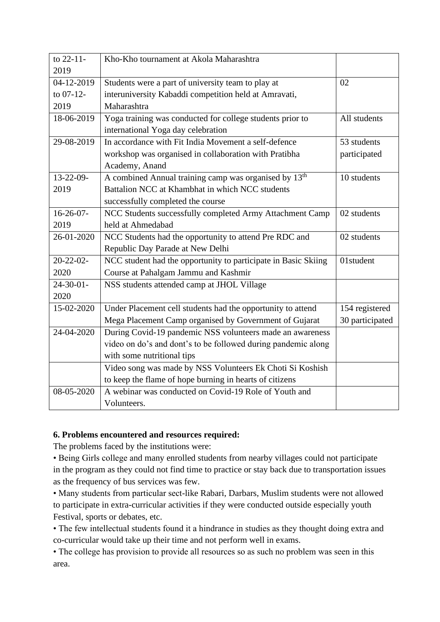| to 22-11-      | Kho-Kho tournament at Akola Maharashtra                           |                 |
|----------------|-------------------------------------------------------------------|-----------------|
| 2019           |                                                                   |                 |
| 04-12-2019     | Students were a part of university team to play at                | 02              |
| to $07-12$ -   | interuniversity Kabaddi competition held at Amravati,             |                 |
| 2019           | Maharashtra                                                       |                 |
| 18-06-2019     | Yoga training was conducted for college students prior to         | All students    |
|                | international Yoga day celebration                                |                 |
| 29-08-2019     | In accordance with Fit India Movement a self-defence              | 53 students     |
|                | workshop was organised in collaboration with Pratibha             | participated    |
|                | Academy, Anand                                                    |                 |
| $13 - 22 - 09$ | A combined Annual training camp was organised by 13 <sup>th</sup> | 10 students     |
| 2019           | Battalion NCC at Khambhat in which NCC students                   |                 |
|                | successfully completed the course                                 |                 |
| $16-26-07-$    | NCC Students successfully completed Army Attachment Camp          | 02 students     |
| 2019           | held at Ahmedabad                                                 |                 |
| 26-01-2020     | NCC Students had the opportunity to attend Pre RDC and            | 02 students     |
|                | Republic Day Parade at New Delhi                                  |                 |
| $20 - 22 - 02$ | NCC student had the opportunity to participate in Basic Skiing    | 01student       |
| 2020           | Course at Pahalgam Jammu and Kashmir                              |                 |
| $24 - 30 - 01$ | NSS students attended camp at JHOL Village                        |                 |
| 2020           |                                                                   |                 |
| 15-02-2020     | Under Placement cell students had the opportunity to attend       | 154 registered  |
|                | Mega Placement Camp organised by Government of Gujarat            | 30 participated |
| 24-04-2020     | During Covid-19 pandemic NSS volunteers made an awareness         |                 |
|                | video on do's and dont's to be followed during pandemic along     |                 |
|                | with some nutritional tips                                        |                 |
|                | Video song was made by NSS Volunteers Ek Choti Si Koshish         |                 |
|                | to keep the flame of hope burning in hearts of citizens           |                 |
| 08-05-2020     | A webinar was conducted on Covid-19 Role of Youth and             |                 |
|                | Volunteers.                                                       |                 |

#### **6. Problems encountered and resources required:**

The problems faced by the institutions were:

• Being Girls college and many enrolled students from nearby villages could not participate in the program as they could not find time to practice or stay back due to transportation issues as the frequency of bus services was few.

• Many students from particular sect-like Rabari, Darbars, Muslim students were not allowed to participate in extra-curricular activities if they were conducted outside especially youth Festival, sports or debates, etc.

• The few intellectual students found it a hindrance in studies as they thought doing extra and co-curricular would take up their time and not perform well in exams.

• The college has provision to provide all resources so as such no problem was seen in this area.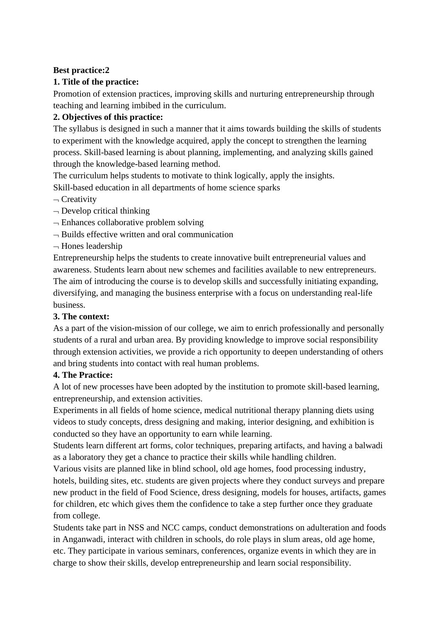#### **Best practice:2**

### **1. Title of the practice:**

Promotion of extension practices, improving skills and nurturing entrepreneurship through teaching and learning imbibed in the curriculum.

# **2. Objectives of this practice:**

The syllabus is designed in such a manner that it aims towards building the skills of students to experiment with the knowledge acquired, apply the concept to strengthen the learning process. Skill-based learning is about planning, implementing, and analyzing skills gained through the knowledge-based learning method.

The curriculum helps students to motivate to think logically, apply the insights. Skill-based education in all departments of home science sparks

- $\overline{\phantom{a}}$  Creativity
- $\neg$  Develop critical thinking
- $\neg$  Enhances collaborative problem solving
- $-$  Builds effective written and oral communication
- $\neg$  Hones leadership

Entrepreneurship helps the students to create innovative built entrepreneurial values and awareness. Students learn about new schemes and facilities available to new entrepreneurs. The aim of introducing the course is to develop skills and successfully initiating expanding, diversifying, and managing the business enterprise with a focus on understanding real-life business.

### **3. The context:**

As a part of the vision-mission of our college, we aim to enrich professionally and personally students of a rural and urban area. By providing knowledge to improve social responsibility through extension activities, we provide a rich opportunity to deepen understanding of others and bring students into contact with real human problems.

### **4. The Practice:**

A lot of new processes have been adopted by the institution to promote skill-based learning, entrepreneurship, and extension activities.

Experiments in all fields of home science, medical nutritional therapy planning diets using videos to study concepts, dress designing and making, interior designing, and exhibition is conducted so they have an opportunity to earn while learning.

Students learn different art forms, color techniques, preparing artifacts, and having a balwadi as a laboratory they get a chance to practice their skills while handling children.

Various visits are planned like in blind school, old age homes, food processing industry, hotels, building sites, etc. students are given projects where they conduct surveys and prepare new product in the field of Food Science, dress designing, models for houses, artifacts, games for children, etc which gives them the confidence to take a step further once they graduate from college.

Students take part in NSS and NCC camps, conduct demonstrations on adulteration and foods in Anganwadi, interact with children in schools, do role plays in slum areas, old age home, etc. They participate in various seminars, conferences, organize events in which they are in charge to show their skills, develop entrepreneurship and learn social responsibility.